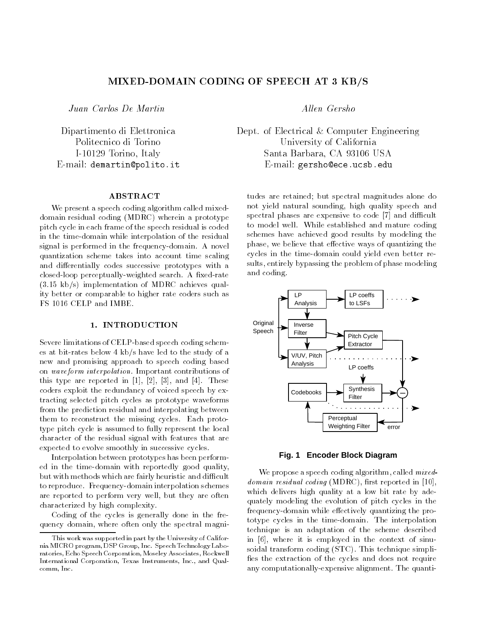# MIXED-DOMAIN CODING OF SPEECH AT 3 KB/S

Juan Carlos De Martin

[Dipartimento di Elettronica](http://www.polito.it/~demartin) I-10129 Torino, Italy E-mail: demartin@polito.it

## **ABSTRACT**

We present a speech coding algorithm called mixeddomain residual coding (MDRC) wherein a prototype pitch cycle in each frame of the speech residual is coded in the time-domain while interpolation of the residual signal is performed in the frequency-domain. A novel quantization scheme takes into account time scaling and differentially codes successive prototypes with a closed-loop perceptually-weighted search. A fixed-rate (3.15 kb/s) implementation of MDRC achieves quality better or comparable to higher rate coders such as FS 1016 CELP and IMBE.

# 1. INTRODUCTION

Severe limitations of CELP-based speech coding schemes at bit-rates below 4 kb/s have led to the study of a new and promising approach to speech coding based on waveform interpolation. Important contributions of this type are reported in  $[1]$ ,  $[2]$ ,  $[3]$ , and  $[4]$ . These coders exploit the redundancy of voiced speech by extracting selected pitch cycles as prototype waveforms from the prediction residual and interpolating between them to reconstruct the missing cycles. Each prototype pitch cycle is assumed to fully represent the local character of the residual signal with features that are expected to evolve smoothly in successive cycles.

Interpolation between prototypes has been performed in the time-domain with reportedly good quality, but with methods which are fairly heuristic and difficult to reproduce. Frequency-domain interpolation schemes are reported to perform very well, but they are often characterized by high complexity.

Coding of the cycles is generally done in the frequency domain, where often only the spectral magniAllen Gersho

Dept. of Electrical & Computer Engineering University of California California California California California California California California California Santa Barbara, CA 93106 USA E-mail: gersho@ece.ucsb.edu

tudes are retained; but spectral magnitudes alone do not yield natural sounding, high quality speech and spectral phases are expensive to code  $[7]$  and difficult to model well. While established and mature coding schemes have achieved good results by modeling the phase, we believe that effective ways of quantizing the cycles in the time-domain could yield even better results, entirely bypassing the problem of phase modeling and coding.



**Fig. 1 Encoder Block Diagram**

We propose a speech coding algorithm, called *mixed*- $\alpha$ *umain residual coding* (INLDICO), hist reported in [10], which delivers high quality at a low bit rate by adequately modeling the evolution of pitch cycles in the frequency-domain while effectively quantizing the prototype cycles in the time-domain. The interpolation technique is an adaptation of the scheme described in [6], where it is employed in the context of sinusoidal transform coding (STC). This technique simpli fies the extraction of the cycles and does not require any computationally-expensive alignment. The quanti-

This work was supported in part by the University of California MICRO program, DSP Group, Inc. Speech Technology Laboratories, Echo Speech Corporation, Moseley Associates, Rockwell International Corporation, Texas Instruments, Inc., and Qualcomm, Inc.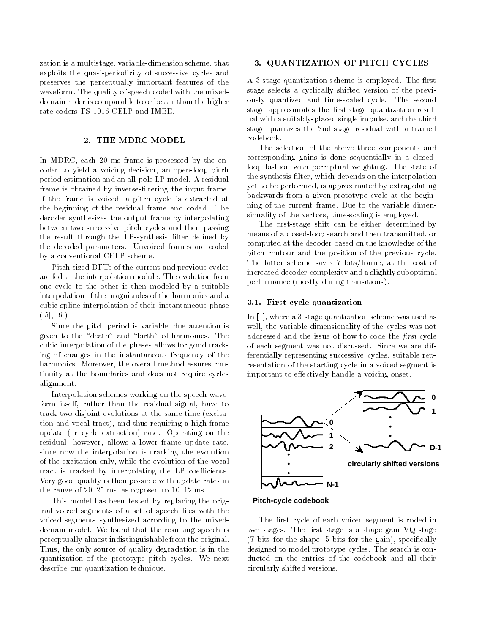zation is a multistage, variable-dimension scheme, that exploits the quasi-periodicity of successive cycles and preserves the perceptually important features of the waveform. The quality of speech coded with the mixeddomain coder is comparable to or better than the higher rate coders FS 1016 CELP and IMBE.

# 2. THE MDRC MODEL

In MDRC, each 20 ms frame is processed by the encoder to yield a voicing decision, an open-loop pitch period estimation and an all-pole LP model. A residual frame is obtained by inverse-filtering the input frame. If the frame is voiced, a pitch cycle is extracted at the beginning of the residual frame and coded. The decoder synthesizes the output frame by interpolating between two successive pitch cycles and then passing the result through the LP-synthesis filter defined by the decoded parameters. Unvoiced frames are coded by a conventional CELP scheme.

Pitch-sized DFTs of the current and previous cycles are fed to the interpolation module. The evolution from one cycle to the other is then modeled by a suitable interpolation of the magnitudes of the harmonics and a cubic spline interpolation of their instantaneous phase  $([5], [6])$ .

Since the pitch period is variable, due attention is given to the "death" and "birth" of harmonics. The cubic interpolation of the phases allows for good tracking of changes in the instantaneous frequency of the harmonics. Moreover, the overall method assures continuity at the boundaries and does not require cycles alignment.

Interpolation schemes working on the speech waveform itself, rather than the residual signal, have to track two disjoint evolutions at the same time (excitation and vocal tract), and thus requiring a high frame update (or cycle extraction) rate. Operating on the residual, however, allows a lower frame update rate, since now the interpolation is tracking the evolution of the excitation only, while the evolution of the vocal tract is tracked by interpolating the LP coefficients. Very good quality is then possible with update rates in the range of  $20-25$  ms, as opposed to  $10-12$  ms.

This model has been tested by replacing the original voiced segments of a set of speech files with the voiced segments synthesized according to the mixeddomain model. We found that the resulting speech is perceptually almost indistinguishable from the original. Thus, the only source of quality degradation is in the quantization of the prototype pitch cycles. We next describe our quantization technique.

## 3. QUANTIZATION OF PITCH CYCLES

A 3-stage quantization scheme is employed. The first stage selects a cyclically shifted version of the previously quantized and time-scaled cycle. The second stage approximates the first-stage quantization residual with a suitably-placed single impulse, and the third stage quantizes the 2nd stage residual with a trained codebook.

The selection of the above three components and corresponding gains is done sequentially in a closedloop fashion with perceptual weighting. The state of the synthesis filter, which depends on the interpolation yet to be performed, is approximated by extrapolating backwards from a given prototype cycle at the beginning of the current frame. Due to the variable dimensionality of the vectors, time-scaling is employed.

The first-stage shift can be either determined by means of a closed-loop search and then transmitted, or computed at the decoder based on the knowledge of the pitch contour and the position of the previous cycle. The latter scheme saves 7 bits/frame, at the cost of increased decoder complexity and a slightly suboptimal performance (mostly during transitions).

#### 3.1. First-cycle quantization

In [1], where a 3-stage quantization scheme was used as well, the variable-dimensionality of the cycles was not addressed and the issue of how to code the *first* cycle of each segment was not discussed. Since we are differentially representing successive cycles, suitable representation of the starting cycle in a voiced segment is important to effectively handle a voicing onset.



**Pitch-cycle codebook**

The first cycle of each voiced segment is coded in two stages. The first stage is a shape-gain VQ stage (7 bits for the shape, 5 bits for the gain), specically designed to model prototype cycles. The search is conducted on the entries of the codebook and all their circularly shifted versions.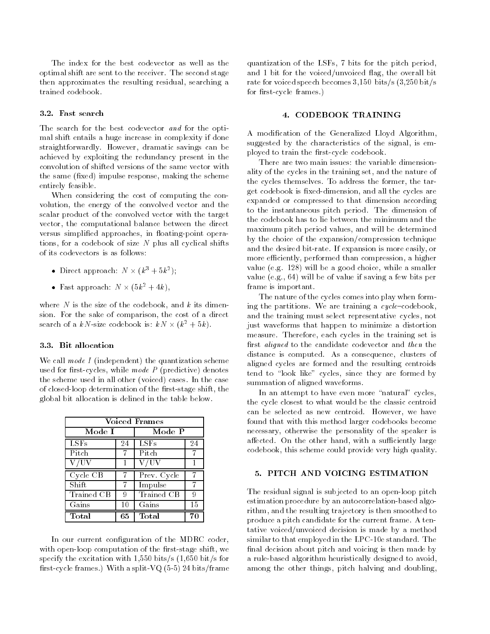The index for the best codevector as well as the optimal shift are sent to the receiver. The second stage then approximates the resulting residual, searching a trained codebook.

#### 3.2. Fast search

The search for the best codevector and for the optimal shift entails a huge increase in complexity if done straightforwardly. However, dramatic savings can be achieved by exploiting the redundancy present in the convolution of shifted versions of the same vector with the same (fixed) impulse response, making the scheme entirely feasible.

When considering the cost of computing the convolution, the energy of the convolved vector and the scalar product of the convolved vector with the target vector, the computational balance between the direct versus simplified approaches, in floating-point operations, for a codebook of size  $N$  plus all cyclical shifts of its codevectors is as follows:

- $\bullet$  Direct approach:  $N \times (K^{\circ} + 3K^{\circ})$ ;
- $\bullet$  rast approach:  $N \times (3k^2 + 4k)$ ,  $\phantom{N}$

where N is the size of the codebook, and  $k$  its dimension. For the sake of comparison, the cost of a direct search of a  $\kappa$ iv-size codebook is:  $\kappa$ iv $\times$  ( $\kappa^- + 5\kappa$ ).

# 3.3. Bit allocation

We call mode  $I$  (independent) the quantization scheme used for first-cycles, while mode  $P$  (predictive) denotes the scheme used in all other (voiced) cases. In the case of closed-loop determination of the first-stage shift, the global bit allocation is delined in the table below.

| <b>Voiced Frames</b> |    |             |    |
|----------------------|----|-------------|----|
| Mode I               |    | Mode P      |    |
| <b>LSFs</b>          | 24 | <b>LSFs</b> | 24 |
| Pitch                |    | Pitch       |    |
| V/UV                 |    | V/UV        |    |
|                      |    |             |    |
| Cycle CB             |    | Prev. Cycle |    |
| Shift                |    | Impulse     |    |
| Trained CB           | 9  | Trained CB  |    |
| Gains                | 10 | Gains       | 15 |

In our current configuration of the MDRC coder, with open-loop computation of the first-stage shift, we specify the excitation with  $1,550$  bits/s  $(1,650$  bit/s for first-cycle frames.) With a split-VQ  $(5-5)$  24 bits/frame

quantization of the LSFs, 7 bits for the pitch period, and 1 bit for the voiced/unvoiced flag, the overall bit rate for voiced speech becomes 3,150 bits/s (3,250 bit/s for first-cycle frames.)

## 4. CODEBOOK TRAINING

A modication of the Generalized Lloyd Algorithm, suggested by the characteristics of the signal, is employed to train the first-cycle codebook.

There are two main issues: the variable dimensionality of the cycles in the training set, and the nature of the cycles themselves. To address the former, the target codebook is fixed-dimension, and all the cycles are expanded or compressed to that dimension according to the instantaneous pitch period. The dimension of the codebook has to lie between the minimum and the maximum pitch period values, and will be determined by the choice of the expansion/compression technique and the desired bit-rate. If expansion is more easily, or more efficiently, performed than compression, a higher value (e.g. 128) will be a good choice, while a smaller value (e.g., 64) will be of value if saving a few bits per frame is important.

The nature of the cycles comes into play when forming the partitions. We are training a  $cycle$ -codebook, and the training must select representative cycles, not just waveforms that happen to minimize a distortion measure. Therefore, each cycles in the training set is first *aligned* to the candidate codevector and *then* the distance is computed. As a consequence, clusters of aligned cycles are formed and the resulting centroids tend to "look like" cycles, since they are formed by summation of aligned waveforms.

In an attempt to have even more "natural" cycles, the cycle closest to what would be the classic centroid can be selected as new centroid. However, we have found that with this method larger codebooks become necessary, otherwise the personality of the speaker is affected. On the other hand, with a sufficiently large codebook, this scheme could provide very high quality.

The residual signal is subjected to an open-loop pitch estimation procedure by an autocorrelation-based algorithm, and the resulting trajectory is then smoothed to produce a pitch candidate for the current frame. A tentative voiced/unvoiced decision is made by a method similar to that employed in the LPC-10e standard. The final decision about pitch and voicing is then made by a rule-based algorithm heuristically designed to avoid, among the other things, pitch halving and doubling,